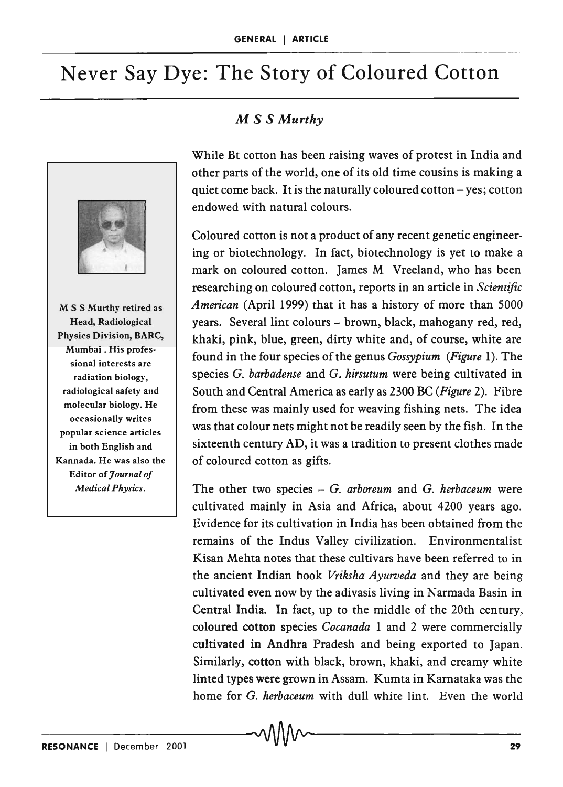# Never Say Dye: The Story of Coloured Cotton



M S S Murthy retired as Head, Radiological Physics Division, BARC, Mumbai . His professional interests are radiation biology, radiological safety and molecular biology. He occasionally writes popular science articles in both English and Kannada. He was also the Editor of *Journal of Medical Physics.* 

### M *S S Murthy*

While Bt cotton has been raising waves of protest in India and other parts of the world, one of its old time cousins is making a quiet come back. It is the naturally coloured cotton  $-$  yes; cotton endowed with natural colours.

Coloured cotton is not a product of any recent genetic engineering or biotechnology. In fact, biotechnology is yet to make a mark on coloured cotton. James M Vreeland, who has been researching on coloured cotton, reports in an article in *Scientific American* (April 1999) that it has a history of more than 5000 years. Several lint colours - brown, black, mahogany red, red, khaki, pink, blue, green, dirty white and, of course, white are found in the four species of the genus *Gossypium (Figure* 1). The species G. *barbadense* and G. *hirsutum* were being cultivated in South and Central America as early as 2300 BC (*Figure 2*). Fibre from these was mainly used for weaving fishing nets. The idea was that colour nets might not be readily seen by the fish. In the sixteenth century AD, it was a tradition to present clothes made of coloured cotton as gifts.

The other two species  $- G$ . *arboreum* and G. *herbaceum* were cultivated mainly in Asia and Africa, about 4200 years ago. Evidence for its cultivation in India has been obtained from the remains of the Indus Valley civilization. Environmentalist Kisan Mehta notes that these cultivars have been referred to in the ancient Indian book *Vriksha Ayurveda* and they are being cultivated even now by the adivasis living in Narmada Basin in Central India. In fact, up to the middle of the 20th century, coloured cotton species *Cocanada* 1 and 2 were commercially cultivated in Andhra Pradesh and being exported to Japan. Similarly, cotton with black, brown, khaki, and creamy white linted types were grown in Assam. Kumta in Karnataka was the home for G. *herbaceum* with dull white lint. Even the world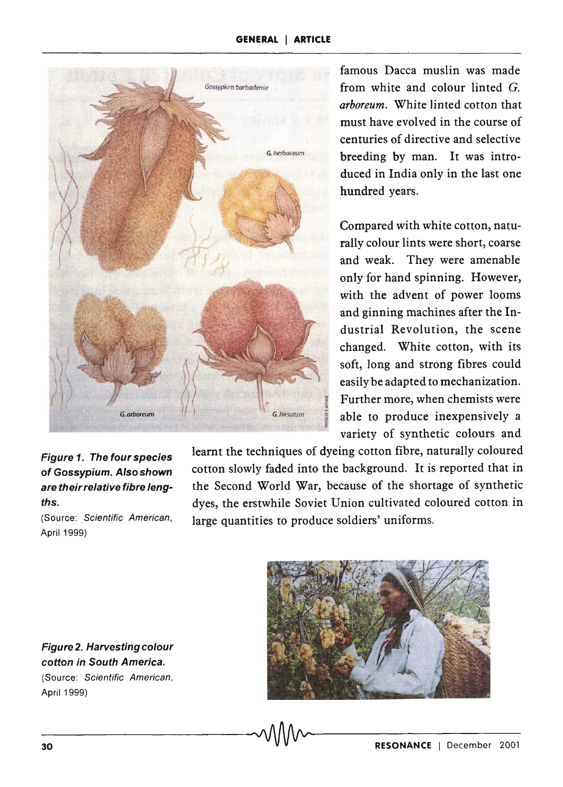

#### Figure 1. The four species of Gossypium. Also shown are their relative fibre lengths.

(Source: Scientific American, April 1999)

learnt the techniques of dyeing cotton fibre, naturally coloured cotton slowly faded into the background. It is reported that in the Second World War, because of the shortage of synthetic dyes, the erstwhile Soviet Union cultivated coloured cotton in large quantities to produce soldiers' uniforms.



Figure 2. Harvesting colour cotton in South America. (Source: Scientific American, April 1999)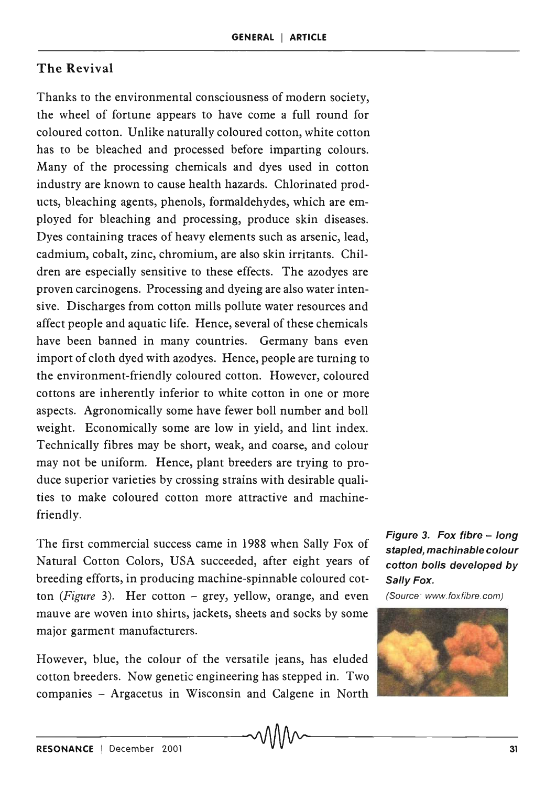## The Revival

Thanks to the environmental consciousness of modern society, the wheel of fortune appears to have come a full round for coloured cotton. Unlike naturally coloured cotton, white cotton has to be bleached and processed before imparting colours. Many of the processing chemicals and dyes used in cotton industry are known to cause health hazards. Chlorinated products, bleaching agents, phenols, formaldehydes, which are employed for bleaching and processing, produce skin diseases. Dyes containing traces of heavy elements such as arsenic, lead, cadmium, cobalt, zinc, chromium, are also skin irritants. Children are especially sensitive to these effects. The azodyes are proven carcinogens. Processing and dyeing are also water intensive. Discharges from cotton mills pollute water resources and affect people and aquatic life. Hence, several of these chemicals have been banned in many countries. Germany bans even import of cloth dyed with azodyes. Hence, people are turning to the environment-friendly coloured cotton. However, coloured cottons are inherently inferior to white cotton in one or more aspects. Agronomically some have fewer boll number and boll weight. Economically some are low in yield, and lint index. Technically fibres may be short, weak, and coarse, and colour may not be uniform. Hence, plant breeders are trying to produce superior varieties by crossing strains with desirable qualities to make coloured cotton more attractive and machinefriendly.

The first commercial success came in 1988 when Sally Fox of Natural Cotton Colors, USA succeeded, after eight years of breeding efforts, in producing machine-spinnable coloured cotton (Figure 3). Her cotton - grey, yellow, orange, and even mauve are woven into shirts, jackets, sheets and socks by some major garment manufacturers.

However, blue, the colour of the versatile jeans, has eluded cotton breeders. Now genetic engineering has stepped in. Two companies - Argacetus in Wisconsin and Calgene in North

Figure 3. Fox fibre - long stapled, machinable colour cotton bolls developed by Sally Fox.

(Source: www.foxfibre.com)

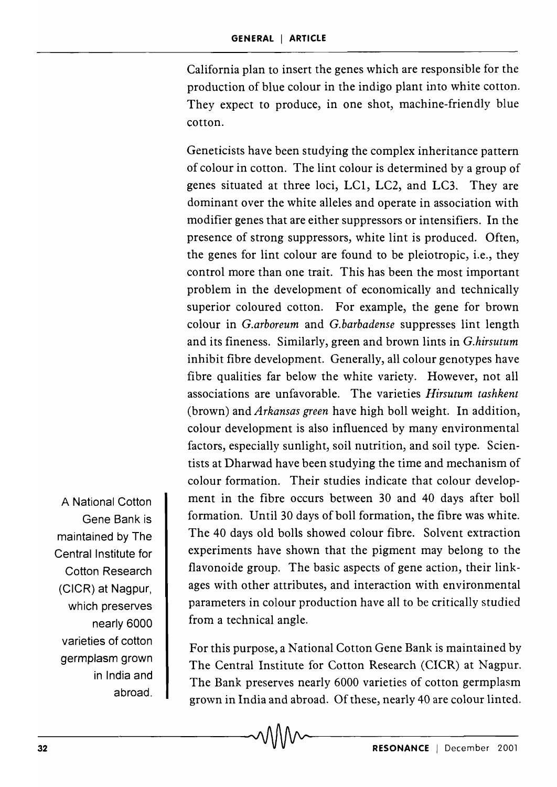California plan to insert the genes which are responsible for the production of blue colour in the indigo plant into white cotton. They expect to produce, in one shot, machine-friendly blue cotton.

Geneticists have been studying the complex inheritance pattern of colour in cotton. The lint colour is determined by a group of genes situated at three loci, LCI, LC2, and LC3. They are dominant over the white alleles and operate in association with modifier genes that are either suppressors or intensifiers. In the presence of strong suppressors, white lint is produced. Often, the genes for lint colour are found to be pleiotropic, i.e., they control more than one trait. This has been the most important problem in the development of economically and technically superior coloured cotton. For example, the gene for brown colour in *G.arboreum* and *G.barbadense* suppresses lint length and its fineness. Similarly, green and brown lints in *G.hirsutum*  inhibit fibre development. Generally, all colour genotypes have fibre qualities far below the white variety. However, not all associations are unfavorable. The varieties *Hirsutum tashkent*  (brown) and *Arkansas green* have high boll weight. In addition, colour development is also influenced by many environmental factors, especially sunlight, soil nutrition, and soil type. Scientists at Dharwad have been studying the time and mechanism of colour formation. Their studies indicate that colour development in the fibre occurs between 30 and 40 days after boll formation. Until 30 days of boll formation, the fibre was white. The 40 days old bolls showed colour fibre. Solvent extraction experiments have shown that the pigment may belong to the flavonoide group. The basic aspects of gene action, their linkages with other attributes, and interaction with environmental parameters in colour production have all to be critically studied from a technical angle.

For this purpose, a National Cotton Gene Bank is maintained by The Central Institute for Cotton Research (CICR) at Nagpur. The Bank preserves nearly 6000 varieties of cotton germplasm grown in India and abroad. Of these, nearly 40 are colour linted.

A National Cotton Gene Bank is maintained by The Central Institute for Cotton Research (CICR) at Nagpur, which preserves nearly 6000 varieties of cotton germplasm grown in India and abroad.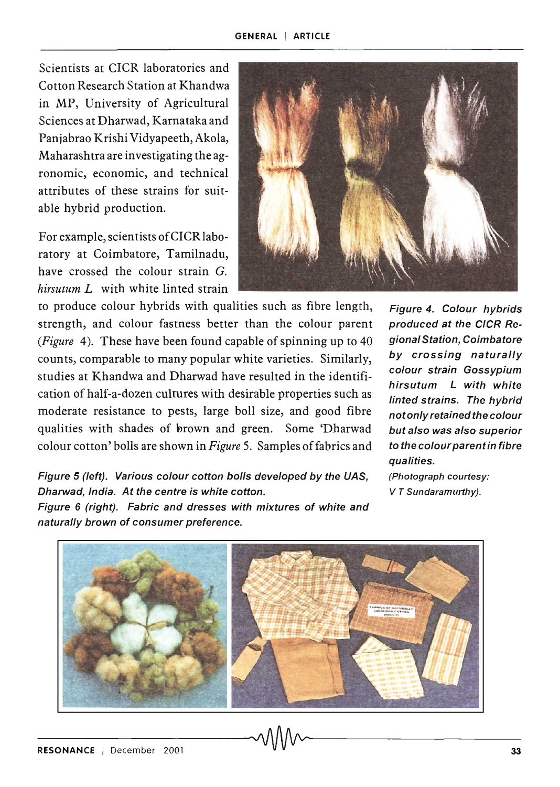Scientists at CICR laboratories and Cotton Research Station at Khandwa in MP, University of Agricultural Sciences at Dharwad, Karnataka and Panjabrao Krishi Vidyapeeth, Akola, Maharashtra are investigating the agronomic, economic, and technical attributes of these strains for suitable hybrid production.

For example, scientists ofCICR laboratory at Coimbatore, Tamilnadu, have crossed the colour strain G. *hirsutum L* with white linted strain



to produce colour hybrids with qualities such as fibre length, strength, and colour fastness better than the colour parent *(Figure* 4). These have been found capable of spinning up to 40 counts, comparable to many popular white varieties. Similarly, studies at Khandwa and Dharwad have resulted in the identification of half-a-dozen cultures with desirable properties such as moderate resistance to pests, large boll size, and good fibre qualities with shades of brown and green. Some 'Dharwad colour cotton' bolls are shown in *Figure* 5. Samples of fabrics and

Figure 4. Colour hybrids produced at the CICR Regional Station, Coimbatore by crossing naturally colour strain Gossypium hirsutum L with white linted strains. The hybrid not only retained the colour but also was also superior to the colour parent in fibre qualities.

(Photograph courtesy: V T Sundaramurthy).

Figure 5 (left). Various colour cotton bolls developed by the UAS, Dharwad, India. At the centre is white cotton.

Figure 6 (right). Fabric and dresses with mixtures of white and naturally brown of consumer preference.

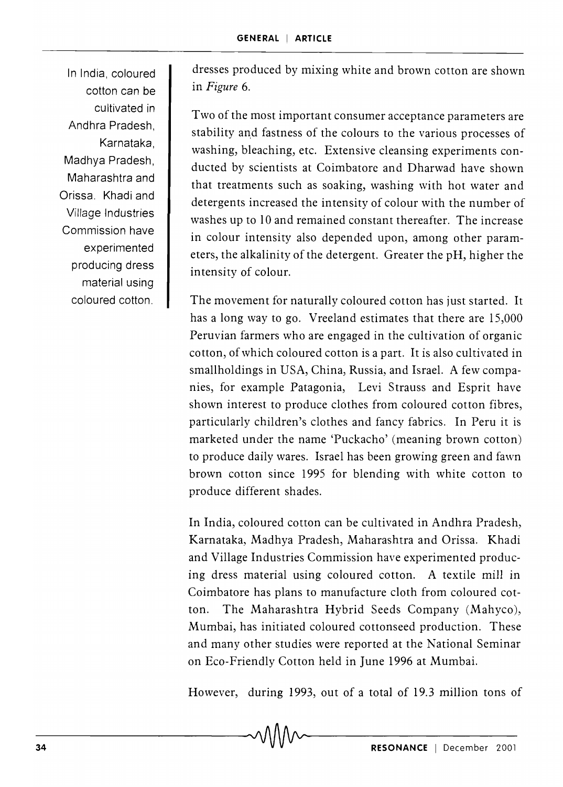In India, coloured cotton can be cultivated in Andhra Pradesh, Karnataka, Madhya Pradesh, Maharashtra and Orissa. Khadi and Village Industries Commission have experimented producing dress material using coloured cotton.

dresses produced by mixing white and brown cotton are shown in *Figure 6.* 

Two of the most important consumer acceptance parameters are stability and fastness of the colours to the various processes of washing, bleaching, etc. Extensive cleansing experiments conducted by scientists at Coimbatore and Dharwad have shown that treatments such as soaking, washing with hot water and detergents increased the intensity of colour with the number of washes up to 10 and remained constant thereafter. The increase in colour intensity also depended upon, among other parameters, the alkalinity of the detergent. Greater the pH, higher the intensity of colour.

The movement for naturally coloured cotton has just started. It has a long way to go. Vreeland estimates that there are 15,000 Peruvian farmers who are engaged in the cultivation of organic cotton, of which coloured cotton is a part. It is also cultivated in smallholdings in USA, China, Russia, and Israel. A few companies, for example Patagonia, Levi Strauss and Esprit have shown interest to produce clothes from coloured cotton fibres, particularly children's clothes and fancy fabrics. In Peru it is marketed under the name 'Puckacho' (meaning brown cotton) to produce daily wares. Israel has been growing green and fawn brown cotton since 1995 for blending with white cotton to produce different shades.

In India, coloured cotton can be cultivated in Andhra Pradesh, Karnataka, Madhya Pradesh, Maharashtra and Orissa. Khadi and Village Industries Commission have experimented producing dress material using coloured cotton. A textile mill in Coimbatore has plans to manufacture cloth from coloured cotton. The Maharashtra Hybrid Seeds Company (Mahyco), Mumbai, has initiated coloured cottonseed production. These and many other studies were reported at the National Seminar on Eco-Friendly Cotton held in June 1996 at Mumbai.

However, during 1993, out of a total of 19.3 million tons of